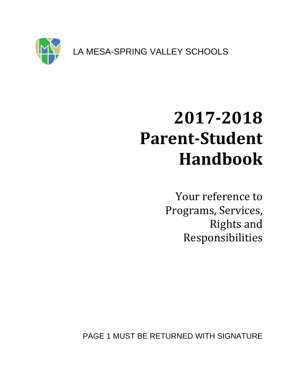LA MESA-SPRING VALLEY SCHOOLS



# **2017-2018 Parent-Student Handbook**

Your reference to Programs, Services, Rights and Responsibilities

PAGE 1 MUST BE RETURNED WITH SIGNATURE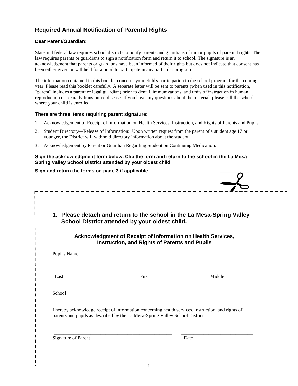## **Required Annual Notification of Parental Rights**

#### **Dear Parent/Guardian:**

 $\mathbf I$ 

State and federal law requires school districts to notify parents and guardians of minor pupils of parental rights. The law requires parents or guardians to sign a notification form and return it to school. The signature is an acknowledgment that parents or guardians have been informed of their rights but does not indicate that consent has been either given or withheld for a pupil to participate in any particular program.

The information contained in this booklet concerns your child's participation in the school program for the coming year. Please read this booklet carefully. A separate letter will be sent to parents (when used in this notification, "parent" includes a parent or legal guardian) prior to dental, immunizations, and units of instruction in human reproduction or sexually transmitted disease. If you have any questions about the material, please call the school where your child is enrolled.

#### **There are three items requiring parent signature:**

- 1. Acknowledgement of Receipt of Information on Health Services, Instruction, and Rights of Parents and Pupils.
- 2. Student Directory—Release of Information: Upon written request from the parent of a student age 17 or younger, the District will withhold directory information about the student.
- 3. Acknowledgement by Parent or Guardian Regarding Student on Continuing Medication.

**Sign the acknowledgment form below. Clip the form and return to the school in the La Mesa-Spring Valley School District attended by your oldest child.**

**Sign and return the forms on page 3 if applicable.**

|              | 1. Please detach and return to the school in the La Mesa-Spring Valley<br>School District attended by your oldest child.                                                                                                       |        |
|--------------|--------------------------------------------------------------------------------------------------------------------------------------------------------------------------------------------------------------------------------|--------|
|              | Acknowledgment of Receipt of Information on Health Services,<br><b>Instruction, and Rights of Parents and Pupils</b>                                                                                                           |        |
| Pupil's Name |                                                                                                                                                                                                                                |        |
| Last         | First                                                                                                                                                                                                                          | Middle |
|              | School and the state of the state of the state of the state of the state of the state of the state of the state of the state of the state of the state of the state of the state of the state of the state of the state of the |        |
|              | I hereby acknowledge receipt of information concerning health services, instruction, and rights of<br>parents and pupils as described by the La Mesa-Spring Valley School District.                                            |        |

 $\overline{Q}$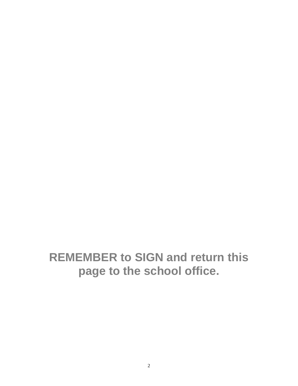# **REMEMBER to SIGN and return this page to the school office.**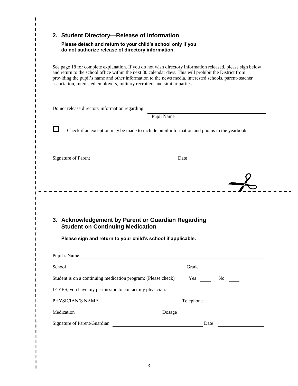| Please detach and return to your child's school only if you<br>do not authorize release of directory information.                                                                                                                                                                                                                                                                                             |       |
|---------------------------------------------------------------------------------------------------------------------------------------------------------------------------------------------------------------------------------------------------------------------------------------------------------------------------------------------------------------------------------------------------------------|-------|
| See page 18 for complete explanation. If you do not wish directory information released, please sign below<br>and return to the school office within the next 30 calendar days. This will prohibit the District from<br>providing the pupil's name and other information to the news media, interested schools, parent-teacher<br>association, interested employers, military recruiters and similar parties. |       |
| Do not release directory information regarding                                                                                                                                                                                                                                                                                                                                                                |       |
| Pupil Name                                                                                                                                                                                                                                                                                                                                                                                                    |       |
| Check if an exception may be made to include pupil information and photos in the yearbook.                                                                                                                                                                                                                                                                                                                    |       |
|                                                                                                                                                                                                                                                                                                                                                                                                               |       |
|                                                                                                                                                                                                                                                                                                                                                                                                               | Date  |
| <b>Student on Continuing Medication</b><br>Please sign and return to your child's school if applicable.                                                                                                                                                                                                                                                                                                       |       |
| <b>Signature of Parent</b><br>3. Acknowledgement by Parent or Guardian Regarding<br>Pupil's Name                                                                                                                                                                                                                                                                                                              |       |
| <u> 1990 - John Stone, amerikansk politiker (</u>                                                                                                                                                                                                                                                                                                                                                             | Grade |
| School<br>Student is on a continuing medication program: (Please check)                                                                                                                                                                                                                                                                                                                                       |       |
|                                                                                                                                                                                                                                                                                                                                                                                                               |       |
| IF YES, you have my permission to contact my physician.                                                                                                                                                                                                                                                                                                                                                       |       |
| Dosage Dosage<br>Medication                                                                                                                                                                                                                                                                                                                                                                                   |       |

 $\begin{array}{c} \hline \end{array}$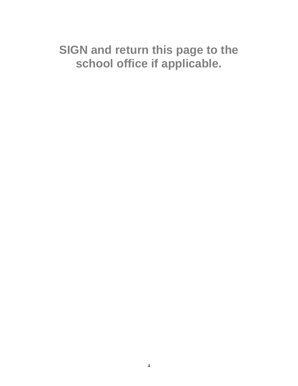# **SIGN and return this page to the school office if applicable.**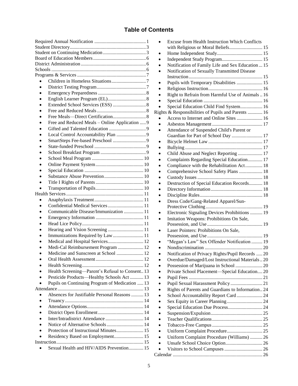# **Table of Contents**

| $\bullet$ |                                                |
|-----------|------------------------------------------------|
|           |                                                |
|           |                                                |
|           |                                                |
|           |                                                |
|           |                                                |
|           |                                                |
|           |                                                |
|           | Free and Reduced Meals - Online Application  9 |
|           |                                                |
|           |                                                |
|           |                                                |
| $\bullet$ |                                                |
|           |                                                |
|           |                                                |
|           |                                                |
|           |                                                |
|           |                                                |
|           |                                                |
|           |                                                |
|           |                                                |
|           |                                                |
| $\bullet$ | Confidential Medical Services  11              |
|           | Communicable Disease/Immunization  11          |
|           |                                                |
|           |                                                |
|           | Hearing and Vision Screening  11               |
|           | Immunizations Required by Law 11               |
|           | Medical and Hospital Services 12               |
|           | Medi-Cal Reimbursement Program  12             |
|           | Medicine and Sunscreen at School  12           |
|           |                                                |
|           |                                                |
|           | Health Screening-Parent's Refusal to Consent13 |
|           | Pesticide Products-Healthy Schools Act  13     |
|           | Pupils on Continuing Program of Medication  13 |
|           |                                                |
| $\bullet$ | Absences for Justifiable Personal Reasons  13  |
|           |                                                |
|           |                                                |
|           |                                                |
|           |                                                |
|           | Inter/Intradistrict Attendance  14             |
|           | Notice of Alternative Schools 14               |
|           | Protection of Instructional Minutes 15         |
|           | Residency Based on Employment 15               |
|           |                                                |
|           | Sexual Health and HIV/AIDS Prevention 15       |

|           | Excuse from Health Instruction Which Conflicts      |
|-----------|-----------------------------------------------------|
|           | with Religious or Moral Beliefs 15                  |
|           |                                                     |
| $\bullet$ |                                                     |
|           | Notification of Family Life and Sex Education  15   |
| $\bullet$ | Notification of Sexually Transmitted Disease        |
|           |                                                     |
|           | Pupils with Temporary Disabilities  15              |
|           |                                                     |
|           | Right to Refrain from Harmful Use of Animals  16    |
|           |                                                     |
|           | Special Education Child Find System 16              |
|           | Rights & Responsibilities of Pupils and Parents  16 |
| $\bullet$ | Access to Internet and Online Sites  16             |
| $\bullet$ |                                                     |
| $\bullet$ | Attendance of Suspended Child's Parent or           |
|           | Guardian for Part of School Day  17                 |
|           |                                                     |
| $\bullet$ |                                                     |
| $\bullet$ | Child Abuse and Neglect Reporting  17               |
| $\bullet$ | Complaints Regarding Special Education 17           |
| $\bullet$ | Compliance with the Rehabilitation Act 18           |
| $\bullet$ | Comprehensive School Safety Plans  18               |
| $\bullet$ |                                                     |
|           |                                                     |
| $\bullet$ | Destruction of Special Education Records 18         |
|           |                                                     |
|           |                                                     |
|           |                                                     |
|           | Dress Code/Gang-Related Apparel/Sun-                |
|           |                                                     |
|           | Electronic Signaling Devices Prohibitions  19       |
|           | Imitation Weapons: Prohibitions On Sale,            |
|           |                                                     |
|           | Laser Pointers: Prohibitions On Sale,               |
|           |                                                     |
|           | "Megan's Law" Sex Offender Notification  19         |
|           |                                                     |
|           | Notification of Privacy Rights/Pupil Records  20    |
|           | Overdue/Damaged/Lost Instructional Materials20      |
|           |                                                     |
|           | Private School Placement-Special Education 20       |
|           |                                                     |
|           | Pupil Sexual Harassment Policy  21                  |
|           | Rights of Parents and Guardians to Information 24   |
|           | School Accountability Report Card 24                |
|           |                                                     |
|           | Special Education Due Process 24                    |
|           |                                                     |
|           |                                                     |
|           |                                                     |
|           |                                                     |
|           | Uniform Complaint Procedure 25                      |
|           | Uniform Complaint Procedure (Williams)  26          |
|           |                                                     |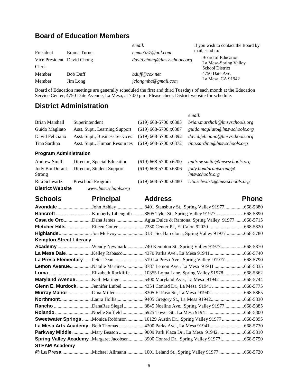# **Board of Education Members**

|                            |                 | email:                      | If you wish to contact the Board by             |
|----------------------------|-----------------|-----------------------------|-------------------------------------------------|
| President                  | Emma Turner     | emma357@aol.com             | mail, send to:                                  |
| Vice President David Chong |                 | david.chong@lmsvschools.org | Board of Education                              |
| Clerk                      |                 |                             | La Mesa-Spring Valley<br><b>School District</b> |
| Member                     | <b>Bob Duff</b> | bduff@cox.net               | 4750 Date Ave.                                  |
| Member                     | Jim Long        | jclongmba@gmail.com         | La Mesa, CA 91942                               |

Board of Education meetings are generally scheduled the first and third Tuesdays of each month at the Education Service Center, 4750 Date Avenue, La Mesa, at 7:00 p.m. Please check District website for schedule.

# **District Administration**

|                               |                                |                        | email:                                          |
|-------------------------------|--------------------------------|------------------------|-------------------------------------------------|
| Brian Marshall                | Superintendent                 | $(619)$ 668-5700 x6383 | brian.marshall@lmsyschools.org                  |
| Guido Magliato                | Asst. Supt., Learning Support  | $(619)$ 668-5700 x6387 | guido.magliato@lmsvschools.org                  |
| David Feliciano               | Asst. Supt., Business Services | $(619)$ 668-5700 x6392 | david.feliciano@lmsvschools.org                 |
| Tina Sardina                  | Asst. Supt., Human Resources   | $(619)$ 668-5700 x6372 | tina.sardina@lmsyschools.org                    |
| <b>Program Administration</b> |                                |                        |                                                 |
| <b>Andrew Smith</b>           | Director, Special Education    | $(619)$ 668-5700 x6200 | $and$ rew.smith@lmsvschools.org                 |
| Jody BonDurant-<br>Strong     | Director, Student Support      | $(619)$ 668-5700 x6306 | jody.bondurantstrong@<br><i>lmsyschools.org</i> |
| Rita Schwartz                 | Preschool Program              | $(619)$ 668-5700 x6480 | rita.schwartz@lmsvschools.org                   |
| <b>District Website</b>       | www.lmsyschools.org            |                        |                                                 |

| <b>Schools compared to the School</b> | <b>Principal</b> | <b>Address</b>                                                                      | <b>Phone</b> |
|---------------------------------------|------------------|-------------------------------------------------------------------------------------|--------------|
|                                       |                  |                                                                                     |              |
|                                       |                  |                                                                                     |              |
|                                       |                  | Casa de OroDana James  Agua Dulce & Ramona, Spring Valley 91977 668-5715            |              |
|                                       |                  |                                                                                     |              |
|                                       |                  |                                                                                     |              |
| <b>Kempton Street Literacy</b>        |                  |                                                                                     |              |
|                                       |                  | Academy Wendy Newmark  740 Kempton St., Spring Valley 91977668-5870                 |              |
|                                       |                  |                                                                                     |              |
|                                       |                  | La Presa Elementary Peter Dean  519 La Presa Ave., Spring Valley 91977 668-5790     |              |
|                                       |                  | Lemon AvenueNatalie Martinez 8787 Lemon Ave., La Mesa 91941 668-5835                |              |
|                                       |                  | Loma Elizabeth Rackliffe  10355 Loma Lane, Spring Valley 91978668-5862              |              |
|                                       |                  | Maryland Avenue Kelli Maringer  5400 Maryland Ave., La Mesa 91942 668-5744          |              |
|                                       |                  | Glenn E. Murdock Jennifer Luibel  4354 Conrad Dr., La Mesa 91941  668-5775          |              |
|                                       |                  |                                                                                     |              |
|                                       |                  | NorthmontLaura Hollis 9405 Gregory St., La Mesa 91942668-5830                       |              |
|                                       |                  |                                                                                     |              |
|                                       |                  |                                                                                     |              |
|                                       |                  | Sweetwater Springs Monica Robinson  10129 Austin Dr., Spring Valley 91977 668-5895  |              |
|                                       |                  |                                                                                     |              |
|                                       |                  | Parkway Middle Mary Beason  9009 Park Plaza Dr., La Mesa 91942 668-5810             |              |
|                                       |                  | Spring Valley AcademyMargaret Jacobsen 3900 Conrad Dr., Spring Valley 91977668-5750 |              |
| <b>STEAM Academy</b>                  |                  |                                                                                     |              |
|                                       |                  |                                                                                     |              |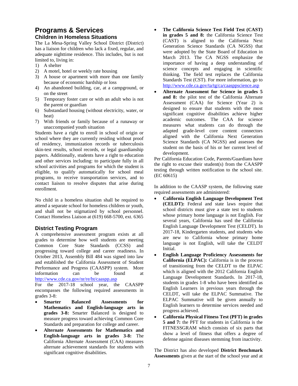### **Programs & Services Children in Homeless Situations**

The La Mesa-Spring Valley School District (District) has a liaison for children who lack a fixed, regular, and adequate nighttime residence. This includes, but is not limited to, living in:

- 1) A shelter
- 2) A motel, hotel or weekly rate housing
- 3) A house or apartment with more than one family because of economic hardship or loss
- 4) An abandoned building, car, at a campground, or on the street
- 5) Temporary foster care or with an adult who is not the parent or guardian
- 6) Substandard housing (without electricity, water, or heat)
- 7) With friends or family because of a runaway or unaccompanied youth situation

Students have a right to enroll in school of origin or school where they are currently residing without proof of residency, immunization records or tuberculosis skin-test results, school records, or legal guardianship papers. Additionally, students have a right to education and other services including: to participate fully in all school activities and programs for which the student is eligible, to qualify automatically for school meal programs, to receive transportation services, and to contact liaison to resolve disputes that arise during enrollment.

No child in a homeless situation shall be required to attend a separate school for homeless children or youth, and shall not be stigmatized by school personnel. Contact Homeless Liaison at (619) 668-5700, ext. 6365

#### **District Testing Program**

A comprehensive assessment program exists at all grades to determine how well students are meeting Common Core State Standards (CCSS) and progressing toward college and career readiness. In October 2013, Assembly Bill 484 was signed into law and established the California Assessment of Student Performance and Progress (CAASPP) system. More information can be found at <http://www.cde.ca.gov/nr/re/ht/caaspp.asp>

For the 2017-18 school year, the CAASPP encompasses the following required assessments in grades 3-8:

- **Smarter Balanced Assessments for Mathematics and English-language arts in grades 3-8:** Smarter Balanced is designed to measure progress toward achieving Common Core Standards and preparation for college and career.
- **Alternate Assessments for Mathematics and English-language arts in grades 3-8:** The California Alternate Assessment (CAA) measures alternate achievement standards for students with significant cognitive disabilities.
- **The California Science Test Field Test (CAST) in grades 5 and 8:** the California Science Test (CAST) is aligned to the California Next Generation Science Standards (CA NGSS) that were adopted by the State Board of Education in March 2013. The CA NGSS emphasize the importance of having a deep understanding of science concepts and engaging in scientific thinking. The field test replaces the California Standards Test (CST). For more information, go to <http://www.cde.ca.gov/ta/tg/ca/caasppscience.asp>
- **Alternate Assessment for Science in grades 5 and 8:** the pilot test of the California Alternate Assessment (CAA) for Science (Year 2) is designed to ensure that students with the most significant cognitive disabilities achieve higher academic outcomes. The CAA for science measures what students can do through the adapted grade-level core content connectors aligned with the California Next Generation Science Standards (CA NGSS) and assesses the student on the basis of his or her current level of development.

Per California Education Code, Parents/Guardians have the right to excuse their student(s) from the CAASPP testing through written notification to the school site. (EC 60615)

In addition to the CAASP system, the following state required assessments are administered:

- **California English Language Development Test (CELDT):** Federal and state laws require that school districts must give a state test to students whose primary home language is not English. For several years, California has used the California English Language Development Test (CELDT). In 2017-18, Kindergarten students, and students who are new to California whose primary home language is not English, will take the CELDT Initial.
- **English Language Proficiency Assessments for California (ELPAC):** California is in the process of transitioning from the CELDT to the ELPAC which is aligned with the 2012 California English Language Development Standards. In 2017-18, students in grades 1-8 who have been identified as English Learners in previous years through the CELDT, will take the ELPAC Summative. The ELPAC Summative will be given annually to English learners to determine services needed and progress achieved.
- **California Physical Fitness Test (PFT) in grades 5 and 7:** the PFT for students in California is the FITNESSGRAM which consists of six parts that show a level of fitness that offers a degree of defense against diseases stemming from inactivity.

The District has also developed **District Benchmark Assessments** given at the start of the school year and at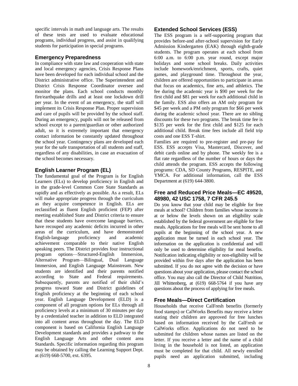specific intervals in math and language arts. The results of these tests are used to evaluate educational programs, individual progress, and assist in qualifying students for participation in special programs.

#### **Emergency Preparedness**

In compliance with state law and cooperation with state and local emergency agencies, Crisis Response Plans have been developed for each individual school and the District administrative office. The Superintendent and District Crisis Response Coordinator oversee and monitor the plans. Each school conducts monthly fire/earthquake drills and at least one lockdown drill per year. In the event of an emergency, the staff will implement its Crisis Response Plan. Proper supervision and care of pupils will be provided by the school staff. During an emergency, pupils will not be released from school except to a parent/guardian or other authorized adult, so it is extremely important that emergency contact information be constantly updated throughout the school year. Contingency plans are developed each year for the safe transportation of all students and staff, regardless of any disabilities, in case an evacuation of the school becomes necessary.

#### **English Learner Program (EL)**

The fundamental goal of the Program is for English Learners (ELs) to develop proficiency in English and in the grade-level Common Core State Standards as rapidly and as effectively as possible. As a result, ELs will make appropriate progress through the curriculum as they acquire competence in English. ELs are reclassified as fluent English proficient (FEP) after meeting established State and District criteria to ensure that these students have overcome language barriers, have recouped any academic deficits incurred in other areas of the curriculum, and have demonstrated English-language proficiency and academic achievement comparable to their native English speaking peers. The District provides four instructional program options—Structured-English Immersion, Alternative Program—Bilingual, Dual Language Immersion, and English Language Mainstream. New students are identified and their parents notified according to State and Federal requirements. Subsequently, parents are notified of their child's progress toward State and District guidelines of English proficiency at the beginning of each school year. English Language Development (ELD) is a component of all program options for ELs through all proficiency levels at a minimum of 30 minutes per day by a credentialed teacher in addition to ELD integrated into all content areas throughout the day. The ELD component is based on California English Language Development standards and provides a pathway to the English Language Arts and other content area Standards. Specific information regarding this program may be obtained by calling the Learning Support Dept. at (619) 668-5700, ext. 6395.

#### **Extended School Services (ESS)**

The ESS program is a self-supporting program that provides before-and after-school supervision for Early Admission Kindergarten (EAK) through eighth-grade students. The program operates at each school from 6:00 a.m. to 6:00 p.m. year round, except major holidays and some school breaks. Daily activities include homework/enrichment, sports, crafts, quiet games, and playground time. Throughout the year, children are offered opportunities to participate in areas that focus on academics, fine arts, and athletics. The fee during the academic year is \$90 per week for the first child and \$81 per week for each additional child in the family. ESS also offers an AM only program for \$45 per week and a PM only program for \$66 per week during the academic school year. There are no sibling discounts for these two programs. The break time fee is \$135 per week for the first child and \$125 for each additional child. Break time fees include all field trip costs and one ESS T-shirt.

Families are required to pre-register and pre-pay for ESS. ESS accepts Visa, Mastercard, Discover, and debit cards online and by phone. The weekly fee is a flat rate regardless of the number of hours or days the child attends the program. ESS accepts the following programs: CDA, SD County Programs, RESPITE, and YMCA. For additional information, call the ESS Department at (619) 644-3800.

#### **Free and Reduced Price Meals—EC 49520, 48980, 42 USC 1758, 7 CFR 245.5**

Do you know that your child may be eligible for free meals at school? Children from families whose income is at or below the levels shown on an eligibility scale established by the federal government are eligible for free meals. Applications for free meals will be sent home to all pupils at the beginning of the school year. A new application must be turned in each school year. The information on the application is confidential and will only be used to determine eligibility for meal benefits. Notification indicating eligibility or non-eligibility will be provided within five days after the application has been submitted. If you do not agree with the decision or have questions about your application, please contact the school office. You may also call the Director of Child Nutrition, Jill Whittenberg, at (619) 668-5764 if you have any questions about the process of applying for free meals.

#### **Free Meals—Direct Certification**

Households that receive CalFresh benefits (formerly food stamps) or CalWorks Benefits may receive a letter stating their children are approved for free lunches based on information received by the CalFresh or CalWorks office. Applications do not need to be submitted for children whose names are listed on the letter. If you receive a letter and the name of a child living in the household is not listed, an application must be completed for that child. All newly enrolled pupils need an application submitted, including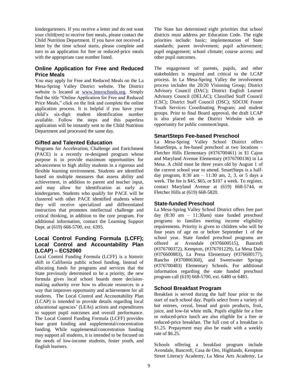kindergarteners. If you receive a letter and do not want your child(ren) to receive free meals, please contact the Child Nutrition Department. If you have not received a letter by the time school starts, please complete and turn in an application for free or reduced-price meals with the appropriate case number listed.

#### **Online Application for Free and Reduced Price Meals**

You may apply for Free and Reduced Meals on the La Mesa-Spring Valley District website. The District website is located at [www.lmsvschools.org.](http://www.lmsvschools.org/) Simply find the title "Online Application for Free and Reduced Price Meals," click on the link and complete the online application process. It is helpful if you have your child's six-digit student identification number available. Follow the steps and this paperless application will be instantly sent to the Child Nutrition Department and processed the same day.

#### **Gifted and Talented Education**

Programs for Acceleration, Challenge and Enrichment (PACE) is a recently re-designed program whose purpose is to provide maximum opportunities for advancement to high ability students in a rigorous and flexible learning environment. Students are identified based on multiple measures that assess ability and achievement, in addition to parent and teacher input, and may allow for identification as early as kindergarten. Students who qualify for PACE will be clustered with other PACE identified students where they will receive specialized and differentiated instruction that promotes intellectual challenge and critical thinking, in addition to the core program. For additional information, contact the Learning Support Dept. at (619) 668-5700, ext. 6395.

#### **Local Control Funding Formula (LCFF); Local Control and Accountability Plan (LCAP) – EC52060**

Local Control Funding Formula (LCFF) is a historic shift in California public school funding. Instead of allocating funds for programs and services that the State previously determined to be a priority, the new formula gives local school boards more decisionmaking authority over how to allocate resources in a way that improves opportunity and achievement for all students. The Local Control and Accountability Plan (LCAP) is intended to provide details regarding local educational agencies' (LEAs) actions and expenditures to support pupil outcomes and overall performance. The Local Control Funding Formula (LCFF) provides base grant funding and supplemental/concentration funding. While supplemental/concentration funding may support all students, it is intended to be focused on the needs of low-income students, foster youth, and English learners.

The State has determined eight priorities that school districts must address per Education Code. The eight priorities include: basic; implementation of State standards; parent involvement; pupil achievement; pupil engagement; school climate; course access; and other pupil outcomes.

The engagement of parents, pupils, and other stakeholders is required and critical to the LCAP process. In La Mesa-Spring Valley the involvement process includes the 20/20 Visioning Group; District Advisory Council (DAC); District English Learner Advisory Council (DELAC); Classified Staff Council (CSC); District Staff Council (DSC); SDCOE Foster Youth Services Coordinating Program; and student groups. Prior to final Board approval, the draft LCAP is also placed on the District Website with an opportunity for public comment/input.

#### **SmartSteps Fee-based Preschool**

La Mesa-Spring Valley School District offers SmartSteps, a fee-based preschool at two locations – Fletcher Hills Elementary (#376700461) in El Cajon and Maryland Avenue Elementary (#376700136) in La Mesa. A child must be three years old by August 1 of the current school year to attend. SmartSteps is a halfday program, 8:30 am – 11:30 am, 2, 3, or 5 days a week. The fee is \$45, \$65, or \$107 a week. To register, contact Maryland Avenue at (619) 668-5744, or Fletcher Hills at (619) 668-5820.

#### **State-funded Preschool**

La Mesa-Spring Valley School District offers free part day (8:30 am – 11:30am) state funded preschool programs to families meeting income eligibility requirements. Priority is given to children who will be four years of age on or before September 1 of the school year. State funded preschool programs are offered at Avondale (#376600515), Bancroft (#376700372), Kempton, (#376701229), La Mesa Dale (#376600883), La Presa Elementary (#376600177), Rancho (#370806360), and Sweetwater Springs (#376700483) Elementary Schools. For additional information regarding the state funded preschool program call (619) 668-5700, ext. 6480 or 6481.

#### **School Breakfast Program**

Breakfast is served during the half hour prior to the start of each school day. Pupils select from a variety of hot entrees, cereal, bread and grain products, fruit, juice, and low-fat white milk. Pupils eligible for a free or reduced-price lunch are also eligible for a free or reduced-price breakfast. The full cost of a breakfast is \$1.25. Prepayment may also be made with a weekly rate of \$6.25.

Schools offering a breakfast program include Avondale, Bancroft, Casa de Oro, Highlands, Kempton Street Literacy Academy, La Mesa Arts Academy, La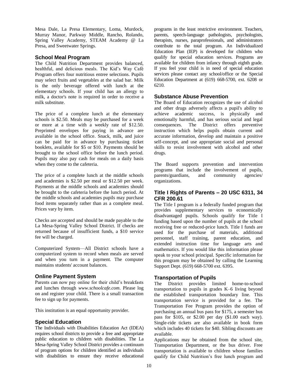Mesa Dale, La Presa Elementary, Loma, Murdock, Murray Manor, Parkway Middle, Rancho, Rolando, Spring Valley Academy, STEAM Academy @ La Presa, and Sweetwater Springs.

#### **School Meal Program**

The Child Nutrition Department provides balanced, healthful, and delicious meals. The Kid's Way Café Program offers four nutritious entree selections. Pupils may select fruits and vegetables at the salad bar. Milk is the only beverage offered with lunch at the elementary schools. If your child has an allergy to milk, a doctor's note is required in order to receive a milk substitute.

The price of a complete lunch at the elementary schools is \$2.50. Meals may be purchased for a week or more at a time with a weekly rate of \$12.50. Preprinted envelopes for paying in advance are available in the school office. Snack, milk, and juice can be paid for in advance by purchasing ticket booklets, available for \$5 or \$10. Payments should be brought to the school office before the lunch period. Pupils may also pay cash for meals on a daily basis when they come to the cafeteria.

The price of a complete lunch at the middle schools and academies is \$2.50 per meal or \$12.50 per week. Payments at the middle schools and academies should be brought to the cafeteria before the lunch period. At the middle schools and academies pupils may purchase food items separately rather than as a complete meal. Prices vary by item.

Checks are accepted and should be made payable to the La Mesa-Spring Valley School District. If checks are returned because of insufficient funds, a \$10 service fee will be charged.

Computerized System—All District schools have a computerized system to record when meals are served and when you turn in a payment. The computer maintains students' account balances.

#### **Online Payment System**

Parents can now pay online for their child's breakfasts and lunches through *www.schoolcafe.com*. Please log on and register your child. There is a small transaction fee to sign up for payments.

This institution is an equal opportunity provider.

#### **Special Education**

The Individuals with Disabilities Education Act (IDEA) requires school districts to provide a free and appropriate public education to children with disabilities. The La Mesa-Spring Valley School District provides a continuum of program options for children identified as individuals with disabilities to ensure they receive educational

programs in the least restrictive environment. Teachers, parents, speech-language pathologists, psychologists, therapists, nurses, paraprofessionals, and administrators contribute to the total program. An Individualized Education Plan (IEP) is developed for children who qualify for special education services. Programs are available for children from infancy through eighth grade. If you feel your child is in need of special education services please contact any school/office or the Special Education Department at (619) 668-5700, ext. 6208 or 6210.

#### **Substance Abuse Prevention**

The Board of Education recognizes the use of alcohol and other drugs adversely affects a pupil's ability to achieve academic success, is physically and emotionally harmful, and has serious social and legal consequences. The District offers preventive instruction which helps pupils obtain current and accurate information, develop and maintain a positive self-concept, and use appropriate social and personal skills to resist involvement with alcohol and other drugs.

The Board supports prevention and intervention programs that include the involvement of pupils, parents/guardians, and community agencies/  $parents/guardians,$  and community organizations.

#### **Title I Rights of Parents – 20 USC 6311, 34 CFR 200.61**

The Title I program is a federally funded program that provides supplementary services to economically disadvantaged pupils. Schools qualify for Title I funding based upon the number of pupils at the school receiving free or reduced-price lunch. Title I funds are used for the purchase of materials, additional personnel, staff training, parent education, and extended instruction time for language arts and mathematics. If you would like this information please speak to your school principal. Specific information for this program may be obtained by calling the Learning Support Dept. (619) 668-5700 ext. 6395.

#### **Transportation of Pupils**

The District provides limited home-to-school transportation to pupils in grades K–6 living beyond the established transportation boundary line. This transportation service is provided for a fee. The Transportation Fee Program provides the option of purchasing an annual bus pass for \$175, a semester bus pass for \$105, or \$2.00 per day (\$1.00 each way). Single-ride tickets are also available in book form which includes 40 tickets for \$40. Sibling discounts are available.

Applications may be obtained from the school site, Transportation Department, or the bus driver. Free transportation is available to children whose families qualify for Child Nutrition's free lunch program and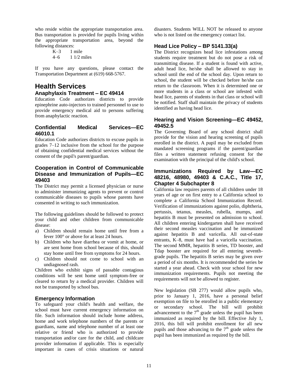who reside within the appropriate transportation area. Bus transportation is provided for pupils living within the appropriate transportation area, beyond the following distances:

> K–3 1 mile 4–6 1 1/2 miles

If you have any questions, please contact the Transportation Department at (619) 668-5767.

### **Health Services Anaphylaxis Treatment – EC 49414**

Education Code authorizes districts to provide epinephrine auto-injectors to trained personnel to use to provide emergency medical aid to persons suffering from anaphylactic reaction.

#### **Confidential Medical Services—EC 46010.1**

Education Code authorizes districts to excuse pupils in grades 7–12 inclusive from the school for the purpose of obtaining confidential medical services without the consent of the pupil's parent/guardian.

#### **Cooperation in Control of Communicable Disease and Immunization of Pupils—EC 49403**

The District may permit a licensed physician or nurse to administer immunizing agents to prevent or control communicable diseases to pupils whose parents have consented in writing to such immunization.

The following guidelines should be followed to protect your child and other children from communicable disease:

- a) Children should remain home until free from a fever 100° or above for at least 24 hours.
- b) Children who have diarrhea or vomit at home, or are sent home from school because of this, should stay home until free from symptoms for 24 hours.
- c) Children should not come to school with an undiagnosed rash.

Children who exhibit signs of passable contagious conditions will be sent home until symptom-free or cleared to return by a medical provider. Children will not be transported by school bus.

#### **Emergency Information**

To safeguard your child's health and welfare, the school must have current emergency information on file. Such information should include home address, home and work telephone numbers of the parents or guardians, name and telephone number of at least one relative or friend who is authorized to provide transportation and/or care for the child, and childcare provider information if applicable. This is especially important in cases of crisis situations or natural

disasters. Students WILL NOT be released to anyone who is not listed on the emergency contact list.

#### **Head Lice Policy – BP 5141.33(a)**

The District recognizes head lice infestations among students require treatment but do not pose a risk of transmitting disease. If a student is found with active, adult head lice, he/she shall be allowed to stay in school until the end of the school day. Upon return to school, the student will be checked before he/she can return to the classroom. When it is determined one or more students in a class or school are infested with head lice, parents of students in that class or school will be notified. Staff shall maintain the privacy of students identified as having head lice.

#### **Hearing and Vision Screening—EC 49452, 49452.5**

The Governing Board of any school district shall provide for the vision and hearing screening of pupils enrolled in the district. A pupil may be excluded from mandated screening programs if the parent/guardian files a written statement refusing consent for the examination with the principal of the child's school.

#### **Immunizations Required by Law—EC 48216, 48980, 49403 & C.A.C., Title 17, Chapter 4 Subchapter 8**

California law requires parents of all children under 18 years of age or on first entry to a California school to complete a California School Immunization Record. Verification of immunizations against polio, diphtheria, pertussis, tetanus, measles, rubella, mumps, and hepatitis B must be presented on admission to school. All children entering kindergarten shall have received their second measles vaccination and be immunized against hepatitis B and varicella. All out-of-state entrants, K–8, must have had a varicella vaccination. The second MMR, hepatitis B series, TD booster, and Tdap booster are required for all entering seventhgrade pupils. The hepatitis B series may be given over a period of six months. It is recommended the series be started a year ahead. Check with your school for new immunization requirements. Pupils not meeting the requirements will not be allowed to register.

New legislation (SB 277) would allow pupils who, prior to January 1, 2016, have a personal belief exemption on file to be enrolled in a public elementary or secondary school. The bill will prohibit advancement to the  $7<sup>th</sup>$  grade unless the pupil has been immunized as required by the bill. Effective July 1, 2016, this bill will prohibit enrollment for all new pupils and those advancing to the  $7<sup>th</sup>$  grade unless the pupil has been immunized as required by the bill.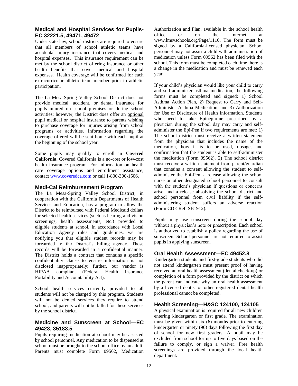#### **Medical and Hospital Services for Pupils-EC 32221.5, 49471, 49472**

Under state law, school districts are required to ensure that all members of school athletic teams have accidental injury insurance that covers medical and hospital expenses. This insurance requirement can be met by the school district offering insurance or other health benefits that cover medical and hospital expenses. Health coverage will be confirmed for each extracurricular athletic team member prior to athletic participation.

The La Mesa-Spring Valley School District does not provide medical, accident, or dental insurance for pupils injured on school premises or during school activities; however, the District does offer an optional pupil medical or hospital insurance to parents wishing to purchase coverage for injuries arising from school programs or activities. Information regarding the coverage offered will be sent home with each pupil at the beginning of the school year.

Some pupils may qualify to enroll in **Covered California.** Covered California is a no-cost or low-cost health insurance program. For information on health care coverage options and enrollment assistance, contact [www.coveredca.com](http://www.coveredca.com/) or call 1-800-300-1506.

#### **Medi-Cal Reimbursement Program**

The La Mesa-Spring Valley School District, in cooperation with the California Departments of Health Services and Education, has a program to allow the District to be reimbursed with Federal Medicaid dollars for selected health services (such as hearing and vision screenings, health assessments, etc.) provided to eligible students at school. In accordance with Local Education Agency rules and guidelines, we are notifying you that eligible student records may be forwarded to the District's billing agency. These records will be forwarded in a confidential manner. The District holds a contract that contains a specific confidentiality clause to ensure information is not disclosed inappropriately; further, our vendor is HIPAA compliant (Federal Health Insurance Portability and Accountability Act).

School health services currently provided to all students will not be charged by this program. Students will not be denied services they require to attend school, and parents will not be billed for these services by the school district.

#### **Medicine and Sunscreen at School—EC 49423, 35183.5**

Pupils requiring medication at school may be assisted by school personnel. Any medication to be dispensed at school must be brought to the school office by an adult. Parents must complete Form 09562, Medication Authorization and Plan, available in the school health office or on the Internet at www.lmsvschools.org/Page/1110. The form must be signed by a California-licensed physician. School personnel may not assist a child with administration of medication unless Form 09562 has been filed with the school. This form must be completed each time there is a change in the medication and must be renewed each year.

If your child's physician would like your child to carry and self-administer asthma medication, the following forms must be completed and signed: 1) School Asthma Action Plan, 2) Request to Carry and Self-Administer Asthma Medication, and 3) Authorization for Use or Disclosure of Health Information. Students who need to take Epinephrine prescribed by a physician during the school day may carry and selfadminister the Epi-Pen if two requirements are met: 1) The school district must receive a written statement from the physician that includes the name of the medication, how it is to be used, dosage, and confirmation that the student is able to self-administer the medication (Form 09562). 2) The school district must receive a written statement from parent/guardian that contains a consent allowing the student to selfadminister the Epi-Pen, a release allowing the school nurse or other designated school personnel to consult with the student's physician if questions or concerns arise, and a release absolving the school district and school personnel from civil liability if the selfadministering student suffers an adverse reaction (Form CDE Ref. SB1912).

Pupils may use sunscreen during the school day without a physician's note or prescription. Each school is authorized to establish a policy regarding the use of sunscreen. School personnel are not required to assist pupils in applying sunscreen.

#### **Oral Health Assessment—EC 49452.8**

Kindergarten students and first-grade students who did not attend kindergarten must present proof of having received an oral health assessment (dental check-up) or completion of a form provided by the district on which the parent can indicate why an oral health assessment by a licensed dentist or other registered dental health professional cannot be completed.

#### **Health Screening—H&SC 124100, 124105**

A physical examination is required for all new children entering kindergarten or first grade. The examination must be given within six (6) months prior to entering kindergarten or ninety (90) days following the first day of school for new first graders. A pupil may be excluded from school for up to five days based on the failure to comply, or sign a waiver. Free health screenings are provided through the local health department.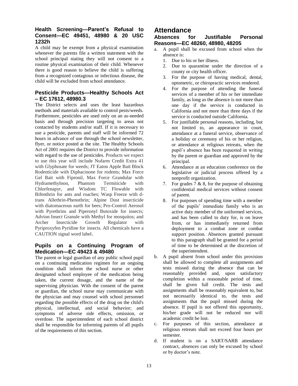#### **Health Screening—Parent's Refusal to Consent—EC 49451, 48980 & 20 USC 1232h**

A child may be exempt from a physical examination whenever the parents file a written statement with the school principal stating they will not consent to a routine physical examination of their child. Whenever there is good reason to believe the child is suffering from a recognized contagious or infectious disease, the child will be excluded from school attendance.

#### **Pesticide Products—Healthy Schools Act – EC 17612, 48980.3**

The District selects and uses the least hazardous methods and materials available to control pests/weeds. Furthermore, pesticides are used only on an as-needed basis and through precision targeting to areas not contacted by students and/or staff. If it is necessary to use a pesticide, parents and staff will be informed 72 hours in advance of use through the school newsletter, flyer, or notice posted at the site. The Healthy Schools Act of 2001 requires the District to provide information with regard to the use of pesticides. Products we expect to use this year will include Nufarm Credit Extra 41 with Glyphosate for weeds; JT Eaton Apple Bait Block Rodenticide with Diphacinone for rodents; Max Force Gel Bait with Fipronil, Max Force Grandular with Hydramethylnon, Phantom Termiticide with Chlorfenapyr, and Wisdom TC Flowable with Bifenthrin for ants and roaches; Wasp Freeze with dtrans Allethrin-Phenothrin; Alpine Dust insecticide with diatomaceous earth for bees; Pro-Control Aerosol with Pyrethrins and Piperonyl Butoxide for insects; Advion Insect Granule with Methyl for mosquitos; and Archer Insecticide Growth Regulator with Pyriproxyfen Pyridine for insects. All chemicals have a CAUTION signal word label.

#### **Pupils on a Continuing Program of Medication—EC 49423 & 49480**

The parent or legal guardian of any public school pupil on a continuing medication regimen for an ongoing condition shall inform the school nurse or other designated school employee of the medication being taken, the current dosage, and the name of the supervising physician. With the consent of the parent or guardian, the school nurse may communicate with the physician and may counsel with school personnel regarding the possible effects of the drug on the child's physical, intellectual, and social behavior; and symptoms of adverse side effects, omission, or overdose. The superintendent of each school district shall be responsible for informing parents of all pupils of the requirements of this section.

# **Attendance**

#### **Absences for Justifiable Personal Reasons—EC 48260, 48980, 48205**

- a. A pupil shall be excused from school when the absence is:
	- 1. Due to his or her illness.
	- 2. Due to quarantine under the direction of a county or city health officer.
	- 3. For the purpose of having medical, dental, optometric, or chiropractic services rendered.
	- 4. For the purpose of attending the funeral services of a member of his or her immediate family, as long as the absence is not more than one day if the service is conducted in California and not more than three days if the service is conducted outside California.
	- 5. For justifiable personal reasons, including, but not limited to, an appearance in court, attendance at a funeral service, observance of a holiday or ceremony of his or her religion, or attendance at religious retreats, when the pupil's absence has been requested in writing by the parent or guardian and approved by the principal.
	- 6. Attendance at an education conference on the legislative or judicial process offered by a nonprofit organization.
	- 7. For grades  $7 \& 8$ , for the purpose of obtaining confidential medical services without consent of parent.
	- 8. For purposes of spending time with a member of the pupils' immediate family who is an active duty member of the uniformed services, and has been called to duty for, is on leave from, or has immediately returned from deployment to a combat zone or combat support position. Absences granted pursuant to this paragraph shall be granted for a period of time to be determined at the discretion of the superintendent.
- b. A pupil absent from school under this provision shall be allowed to complete all assignments and tests missed during the absence that can be reasonably provided and, upon satisfactory completion within a reasonable period of time, shall be given full credit. The tests and assignments shall be reasonably equivalent to, but not necessarily identical to, the tests and assignments that the pupil missed during the absence. If pupil is not offered this opportunity, his/her grade will not be reduced nor will academic credit be lost.
- c. For purposes of this section, attendance at religious retreats shall not exceed four hours per semester.
- d. If student is on a SART/SARB attendance contract, absences can only be excused by school or by doctor's note.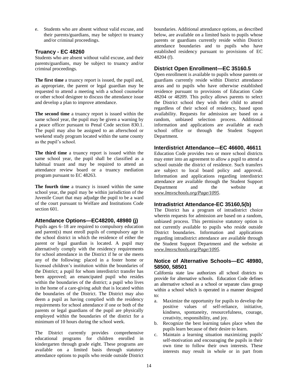e. Students who are absent without valid excuse, and their parents/guardians, may be subject to truancy and/or criminal proceedings.

#### **Truancy - EC 48260**

Students who are absent without valid excuse, and their parents/guardians, may be subject to truancy and/or criminal proceedings.

**The first time** a truancy report is issued, the pupil and, as appropriate, the parent or legal guardian may be requested to attend a meeting with a school counselor or other school designee to discuss the attendance issue and develop a plan to improve attendance.

**The second time** a truancy report is issued within the same school year, the pupil may be given a warning by a peace officer pursuant to Penal Code section 830.1. The pupil may also be assigned to an afterschool or weekend study program located within the same county as the pupil's school.

**The third time** a truancy report is issued within the same school year, the pupil shall be classified as a habitual truant and may be required to attend an attendance review board or a truancy mediation program pursuant to EC 48263.

**The fourth time** a truancy is issued within the same school year, the pupil may be within jurisdiction of the Juvenile Court that may adjudge the pupil to be a ward of the court pursuant to Welfare and Institutions Code section 601.

#### **Attendance Options—EC48200, 48980 (j)**

Pupils ages 6–18 are required to compulsory education and parent(s) must enroll pupils of compulsory age in the school district in which the residence of either the parent or legal guardian is located. A pupil may alternatively comply with the residency requirements for school attendance in the District if he or she meets any of the following: placed in a foster home or licensed children's institution within the boundaries of the District; a pupil for whom interdistrict transfer has been approved; an emancipated pupil who resides within the boundaries of the district; a pupil who lives in the home of a care-giving adult that is located within the boundaries of the District. The District may also deem a pupil as having complied with the residency requirements for school attendance if one or both of the parents or legal guardians of the pupil are physically employed within the boundaries of the district for a minimum of 10 hours during the school week.

The District currently provides comprehensive educational programs for children enrolled in kindergarten through grade eight. These programs are available on a limited basis through statutory attendance options to pupils who reside outside District boundaries. Additional attendance options, as described below, are available on a limited basis to pupils whose parents or guardians currently reside within District attendance boundaries and to pupils who have established residency pursuant to provisions of EC 48204 (f).

#### **District Open Enrollment—EC 35160.5**

Open enrollment is available to pupils whose parents or guardians currently reside within District attendance areas and to pupils who have otherwise established residence pursuant to provisions of Education Code 48204 or 48209. This policy allows parents to select the District school they wish their child to attend regardless of their school of residency, based upon availability. Requests for admission are based on a random, unbiased selection process. Additional information and applications are available at each school office or through the Student Support Department.

#### **Interdistrict Attendance—EC 46600, 46611**

Education Code provides two or more school districts may enter into an agreement to allow a pupil to attend a school outside the district of residence. Such transfers are subject to local board policy and approval. Information and applications regarding interdistrict attendance are available through the Student Support Department and the website at *www.lmsvschools.org/Page/1095*.

#### **Intradistrict Attendance-EC 35160,5(b)**

The District has a program of intradistrict choice wherein requests for admission are based on a random, unbiased process. This permissive statutory option is not currently available to pupils who reside outside District boundaries. Information and applications regarding intradistrict attendance are available through the Student Support Department and the website at *www.lmsvschools.org/Page/1095*.

#### **Notice of Alternative Schools—EC 48980, 58500, 58501**

California state law authorizes all school districts to provide for alternative schools. Education Code defines an alternative school as a school or separate class group within a school which is operated in a manner designed to:

- a. Maximize the opportunity for pupils to develop the positive values of self-reliance, initiative, kindness, spontaneity, resourcefulness, courage, creativity, responsibility, and joy.
- b. Recognize the best learning takes place when the pupils learn because of their desire to learn.
- c. Maintain a learning situation maximizing pupils' self-motivation and encouraging the pupils in their own time to follow their own interests. These interests may result in whole or in part from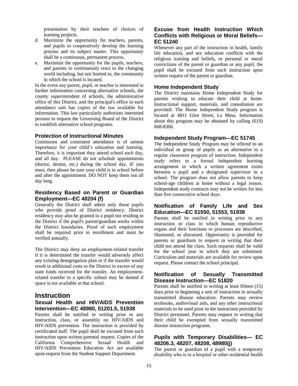presentation by their teachers of choices of learning projects.

- d. Maximize the opportunity for teachers, parents, and pupils to cooperatively develop the learning process and its subject matter. This opportunity shall be a continuous, permanent process.
- e. Maximize the opportunity for the pupils, teachers, and parents to continuously react to the changing world including, but not limited to, the community in which the school is located.

In the event any parent, pupil, or teacher is interested in further information concerning alternative schools, the county superintendent of schools, the administrative office of this District, and the principal's office in each attendance unit has copies of the law available for information. This law particularly authorizes interested persons to request the Governing Board of the District to establish alternative school programs.

#### **Protection of Instructional Minutes**

Continuous and consistent attendance is of utmost importance for your child's education and learning. Therefore, it is important they attend school each day, and all day. PLEASE do not schedule appointments (doctor, dentist, etc.) during the school day. IF you must, then please be sure your child is in school before and after the appointment. DO NOT keep them out all day long.

#### **Residency Based on Parent or Guardian Employment—EC 48204 (f)**

Generally the District shall admit only those pupils who provide proof of District residency. District residency may also be granted to a pupil not residing in the District if the pupil's parent/guardian works within the District boundaries. Proof of such employment shall be required prior to enrollment and must be verified annually.

The District may deny an employment-related transfer if it is determined the transfer would adversely affect any existing desegregation plan or if the transfer would result in additional costs to the District in excess of any state funds received for the transfer. An employmentrelated transfer to a specific school may be denied if space is not available at that school.

#### **Instruction**

#### **Sexual Health and HIV/AIDS Prevention Intervention—EC 48980, 51201.5, 51938**

Parents shall be notified in writing prior to any instruction, class, or assembly on HIV/AIDS and HIV/AIDS prevention. The instruction is provided by certificated staff. The pupil shall be excused from such instruction upon written parental request. Copies of the California Comprehensive Sexual Health and HIV/AIDS Prevention Education Act are available upon request from the Student Support Department.

#### **Excuse from Health Instruction Which Conflicts with Religious or Moral Beliefs— EC 51240**

Whenever any part of the instruction in health, family life education, and sex education conflicts with the religious training and beliefs, or personal or moral convictions of the parent or guardian or any pupil, the pupil shall be excused from such instruction upon written request of the parent or guardian.

#### **Home Independent Study**

The District maintains Home Independent Study for parents wishing to educate their child at home. Instructional support, materials, and consultation are provided. The Home Independent Study program is located at 4811 Glen Street, La Mesa. Information about this program may be obtained by calling (619) 668-8366.

#### **Independent Study Program—EC 51745**

The Independent Study Program may be offered to an individual or group of pupils as an alternative to a regular classroom program of instruction. Independent study refers to a formal independent learning arrangement in which a written agreement exists between a pupil and a designated supervisor in a school. The program does not allow parents to keep school-age children at home without a legal reason. Independent study contracts may not be written for less than five consecutive school days.

#### **Notification of Family Life and Sex Education—EC 51550, 51553, 51938**

Parents shall be notified in writing prior to any instruction or class in which human reproductive organs and their functions or processes are described, illustrated, or discussed. Opportunity is provided for parents or guardians to request in writing that their child not attend the class. Such requests shall be valid for the school year in which they are submitted. Curriculum and materials are available for review upon request. Please contact the school principal.

#### **Notification of Sexually Transmitted Disease Instruction—EC 51820**

Parents shall be notified in writing at least fifteen (15) days prior to beginning a unit of instruction in sexually transmitted disease education. Parents may review textbooks, audiovisual aids, and any other instructional materials to be used prior to the instruction provided by District personnel. Parents may request in writing that their child be exempted from sexually transmitted disease instruction programs.

#### **Pupils with Temporary Disabilities— EC 48206.3, 48207, 48208, 48980(j)**

The parent or guardian of a pupil with a temporary disability who is in a hospital or other residential health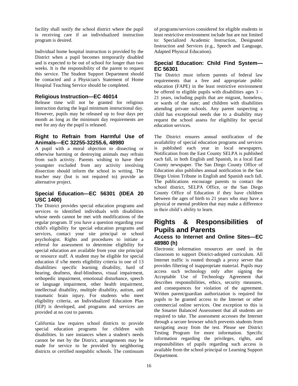facility shall notify the school district where the pupil is receiving care if an individualized instruction program is desired.

Individual home hospital instruction is provided by the District when a pupil becomes temporarily disabled and is expected to be out of school for longer than two weeks. It is the responsibility of the parent to request this service. The Student Support Department should be contacted and a Physician's Statement of Home Hospital Teaching Service should be completed.

#### **Religious Instruction—EC 46014**

Release time will not be granted for religious instruction during the legal minimum instructional day. However, pupils may be released up to four days per month as long as the minimum day requirements are met for any day the pupil is released.

#### **Right to Refrain from Harmful Use of Animals—EC 32255-32255.6, 48980**

A pupil with a moral objection to dissecting or otherwise harming or destroying animals may refrain from such activity. Parents wishing to have their youngster excluded from any activity involving dissection should inform the school in writing. The teacher may (but is not required to) provide an alternative project.

#### **Special Education—EC 56301 (IDEA 20 USC 1400)**

The District provides special education programs and services to identified individuals with disabilities whose needs cannot be met with modifications of the regular program. If you have a question regarding your child's eligibility for special education programs and services, contact your site principal or school psychologist. Rights and procedures to initiate a referral for assessment to determine eligibility for special education are available from your site principal or resource staff. A student may be eligible for special education if s/he meets eligibility criteria in one of 13 disabilities: specific learning disability, hard of hearing, deafness, deaf-blindness, visual impairment, orthopedic impairment, emotional disturbance, speech or language impairment, other health impairment, intellectual disability, multiple disability, autism, and traumatic brain injury. For students who meet eligibility criteria, an Individualized Education Plan (IEP) is developed, and programs and services are provided at no cost to parents.

California law requires school districts to provide special education programs for children with disabilities. In rare instances when a student's needs cannot be met by the District, arrangements may be made for service to be provided by neighboring districts or certified nonpublic schools. The continuum of programs/services considered for eligible students in least restrictive environment include but are not limited to: Specialized Academic Instruction, Designated Instruction and Services (e.g., Speech and Language, Adapted Physical Education).

#### **Special Education: Child Find System— EC 56301**

The District must inform parents of federal law requirements that a free and appropriate public education (FAPE) in the least restrictive environment be offered to eligible pupils with disabilities ages 3 – 21 years, including pupils that are migrant, homeless, or wards of the state; and children with disabilities attending private schools. Any parent suspecting a child has exceptional needs due to a disability may request the school assess for eligibility for special education services.

The District ensures annual notification of the availability of special education programs and services is published each year in local newspapers. Notification from the East County SELPA is published each fall, in both English and Spanish, in a local East County newspaper. The San Diego County Office of Education also publishes annual notification in the San Diego Union Tribune in English and Spanish each fall. The publications encourage parents to contact the school district, SELPA Office, or the San Diego County Office of Education if they have children between the ages of birth to 21 years who may have a physical or mental problem that may make a difference in their child's ability to learn.

### **Rights & Responsibilities of Pupils and Parents Access to Internet and Online Sites—EC**

# **48980 (h)**

Electronic information resources are used in the classroom to support District-adopted curriculum. All Internet traffic is routed through a proxy server that provides filtering of inappropriate material. Pupils may access such technology only after signing the Acceptable Use of Technology Agreement that describes responsibilities, ethics, security measures, and consequences for violation of the agreement. Written parent/guardian authorization is required for pupils to be granted access to the Internet or other commercial online services. One exception to this is the Smarter Balanced Assessment that all students are required to take. The assessment accesses the Internet through a secure browser which prevents students from navigating away from the test. Please see District Testing Program for more information. Specific information regarding the privileges, rights, and responsibilities of pupils regarding such access is available from the school principal or Learning Support Department.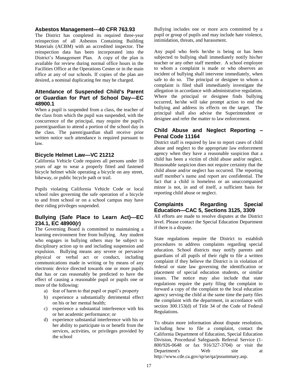#### **Asbestos Management—40 CFR 763.93**

The District has completed its required three-year reinspection of all Asbestos Containing Building Materials (ACBM) with an accredited inspector. The reinspection data has been incorporated into the District's Management Plan. A copy of the plan is available for review during normal office hours in the Facilities Office at the Operations Center or in the main office at any of our schools. If copies of the plan are desired, a nominal duplicating fee may be charged.

#### **Attendance of Suspended Child's Parent or Guardian for Part of School Day—EC 48900.1**

When a pupil is suspended from a class, the teacher of the class from which the pupil was suspended, with the concurrence of the principal, may require the pupil's parent/guardian to attend a portion of the school day in the class. The parent/guardian shall receive prior written notice such attendance is required pursuant to law.

#### **Bicycle Helmet Law—VC 21212**

California Vehicle Code requires all persons under 18 years of age to wear a properly fitted and fastened bicycle helmet while operating a bicycle on any street, bikeway, or public bicycle path or trail.

Pupils violating California Vehicle Code or local school rules governing the safe operation of a bicycle to and from school or on a school campus may have their riding privileges suspended.

#### **Bullying (Safe Place to Learn Act)—EC 234.1, EC 48900(r)**

The Governing Board is committed to maintaining a learning environment free from bullying. Any student who engages in bullying others may be subject to disciplinary action up to and including suspension and expulsion. Bullying means any severe or pervasive physical or verbal act or conduct, including communications made in writing or by means of any electronic device directed towards one or more pupils that has or can reasonably be predicted to have the effect of causing a reasonable pupil or pupils one or more of the following:

- a) fear of harm to that pupil or pupil's property
- b) experience a substantially detrimental effect on his or her mental health;
- c) experience a substantial interference with his or her academic performance; or
- d) experience substantial interference with his or her ability to participate in or benefit from the services, activities, or privileges provided by the school

Bullying includes one or more acts committed by a pupil or group of pupils and may include hate violence, intimidation, threats, and harassment.

Any pupil who feels he/she is being or has been subjected to bullying shall immediately notify his/her teacher or any other staff member. A school employee to whom a complaint is made or who observes an incident of bullying shall intervene immediately, when safe to do so. The principal or designee to whom a complaint is filed shall immediately investigate the allegation in accordance with administrative regulation. Where the principal or designee finds bullying occurred, he/she will take prompt action to end the bullying and address its effects on the target. The principal shall also advise the Superintendent or designee and refer the matter to law enforcement.

#### **Child Abuse and Neglect Reporting – Penal Code 11164**

District staff is required by law to report cases of child abuse and neglect to the appropriate law enforcement agency when they have a reasonable suspicion that a child has been a victim of child abuse and/or neglect. Reasonable suspicion does not require certainty that the child abuse and/or neglect has occurred. The reporting staff member's name and report are confidential. The fact that a child is homeless or an unaccompanied minor is not, in and of itself, a sufficient basis for reporting child abuse or neglect.

#### **Complaints Regarding Special Education—CAC 5, Sections 3125, 3309**

All efforts are made to resolve disputes at the District level. Please contact the Special Education Department if there is a dispute.

State regulations require the District to establish procedures to address complaints regarding special education. School districts may notify parents and guardians of all pupils of their right to file a written complaint if they believe the District is in violation of federal or state law governing the identification or placement of special education students, or similar issues. The notice may also include that state regulations require the party filing the complaint to forward a copy of the complaint to the local education agency serving the child at the same time the party files the complaint with the department, in accordance with section 300.153(d) of Title 34 of the Code of Federal Regulations.

To obtain more information about dispute resolution, including how to file a complaint, contact the California Department of Education, Special Education Division, Procedural Safeguards Referral Service (1- 800/926-0648 or fax 916/327-3704) or visit the Department's Web site at http://www.cde.ca.gov/sp/se/qa/pssummary.asp.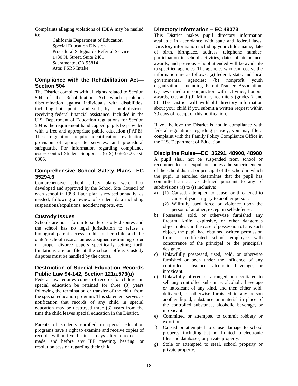Complaints alleging violations of IDEA may be mailed to:

California Department of Education Special Education Division Procedural Safeguards Referral Service 1430 N. Street, Suite 2401 Sacramento, CA 95814 Attn: PSRS Intake

#### **Compliance with the Rehabilitation Act— Section 504**

The District complies with all rights related to Section 504 of the Rehabilitation Act which prohibits discrimination against individuals with disabilities, including both pupils and staff, by school districts receiving federal financial assistance. Included in the U.S. Department of Education regulations for Section 504 is the requirement handicapped pupils be provided with a free and appropriate public education (FAPE). These regulations require identification, evaluation, provision of appropriate services, and procedural safeguards. For information regarding compliance issues contact Student Support at (619) 668-5700, ext. 6306.

#### **Comprehensive School Safety Plans—EC 35294.6**

Comprehensive school safety plans were first developed and approved by the School Site Council of each school in 1998. Each plan is revised annually, as needed, following a review of student data including suspensions/expulsions, accident reports, etc.

#### **Custody Issues**

Schools are not a forum to settle custody disputes and the school has no legal jurisdiction to refuse a biological parent access to his or her child and the child's school records unless a signed restraining order or proper divorce papers specifically setting forth limitations are on file at the school office. Custody disputes must be handled by the courts.

#### **Destruction of Special Education Records Public Law 94-142, Section 121a.573(a)**

Federal law requires copies of records for children in special education be retained for three (3) years following the termination or transfer of the child from the special education program. This statement serves as notification that records of any child in special education may be destroyed three (3) years from the time the child leaves special education in the District.

Parents of students enrolled in special education programs have a right to examine and receive copies of records within five business days after a request is made, and before any IEP meeting, hearing, or resolution session regarding their child.

#### **Directory Information – EC 49073**

This District makes pupil directory information available in accordance with state and federal laws. Directory information including your child's name, date of birth, birthplace, address, telephone number, participation in school activities, dates of attendance, awards, and previous school attended will be available to specified agencies. The agencies who can receive the information are as follows: (a) federal, state, and local governmental agencies; (b) nonprofit youth organizations, including Parent-Teacher Association; (c) news media in conjunction with activities, honors, awards, etc. and (d) Military recruiters (grades 7 and 8). The District will withhold directory information about your child if you submit a written request within 30 days of receipt of this notification.

If you believe the District is not in compliance with federal regulations regarding privacy, you may file a complaint with the Family Policy Compliance Office in the U.S. Department of Education.

#### **Discipline Rules—EC 35291, 48900, 48980**

A pupil shall not be suspended from school or recommended for expulsion, unless the superintendent of the school district or principal of the school in which the pupil is enrolled determines that the pupil has committed an act as defined pursuant to any of subdivisions (a) to (r) inclusive:

- a) (1) Caused, attempted to cause, or threatened to cause physical injury to another person.
	- (2) Willfully used force or violence upon the person of another, except in self-defense.
- b) Possessed, sold, or otherwise furnished any firearm, knife, explosive, or other dangerous object unless, in the case of possession of any such object, the pupil had obtained written permission from a certificated school employee with concurrence of the principal or the principal's designee.
- c) Unlawfully possessed, used, sold, or otherwise furnished or been under the influence of any controlled substance, alcoholic beverage, or intoxicant.
- d) Unlawfully offered or arranged or negotiated to sell any controlled substance, alcoholic beverage or intoxicant of any kind, and then either sold, delivered, or otherwise furnished to any person another liquid, substance or material in place of the controlled substance, alcoholic beverage, or intoxicant.
- e) Committed or attempted to commit robbery or extortion.
- f) Caused or attempted to cause damage to school property, including but not limited to electronic files and databases, or private property.
- g) Stole or attempted to steal, school property or private property.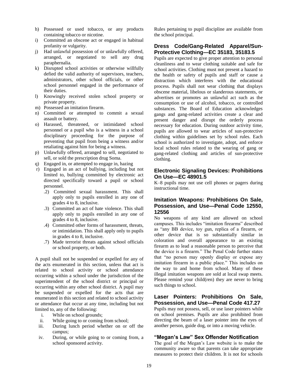- h) Possessed or used tobacco, or any products containing tobacco or nicotine.
- i) Committed an obscene act or engaged in habitual profanity or vulgarity.
- j) Had unlawful possession of or unlawfully offered, arranged, or negotiated to sell any drug paraphernalia.
- k) Disrupted school activities or otherwise willfully defied the valid authority of supervisors, teachers, administrators, other school officials, or other school personnel engaged in the performance of their duties.
- l) Knowingly received stolen school property or private property.
- m) Possessed an imitation firearm.
- n) Committed or attempted to commit a sexual assault or battery.
- o) Harassed, threatened, or intimidated school personnel or a pupil who is a witness in a school disciplinary proceeding for the purpose of preventing that pupil from being a witness and/or retaliating against him for being a witness.
- p) Unlawfully offered, arranged to sell, negotiated to sell, or sold the prescription drug Soma.
- q) Engaged in, or attempted to engage in, hazing
- r) Engaged in an act of bullying, including but not limited to, bullying committed by electronic act directed specifically toward a pupil or school personnel.
	- .2) Committed sexual harassment. This shall apply only to pupils enrolled in any one of grades 4 to 8, inclusive.
	- .3) Committed an act of hate violence. This shall apply only to pupils enrolled in any one of grades 4 to 8, inclusive.
	- .4) Committed other forms of harassment, threats, or intimidation. This shall apply only to pupils in grades 4 to 8, inclusive.
	- .7) Made terrorist threats against school officials or school property, or both.

A pupil shall not be suspended or expelled for any of the acts enumerated in this section, unless that act is related to school activity or school attendance occurring within a school under the jurisdiction of the superintendent of the school district or principal or occurring within any other school district. A pupil may be suspended or expelled for the acts that are enumerated in this section and related to school activity or attendance that occur at any time, including but not limited to, any of the following:

- i. While on school grounds;
- ii. While going to or coming from school;
- iii. During lunch period whether on or off the campus;
- iv. During, or while going to or coming from, a school sponsored activity.

Rules pertaining to pupil discipline are available from the school principal.

#### **Dress Code/Gang-Related Apparel/Sun-Protective Clothing—EC 35183, 35183.5**

Pupils are expected to give proper attention to personal cleanliness and to wear clothing suitable and safe for school activities. Clothing must not present a hazard to the health or safety of pupils and staff or cause a distraction which interferes with the educational process. Pupils shall not wear clothing that displays obscene material, libelous or slanderous statements, or advertises or promotes an unlawful act such as the consumption or use of alcohol, tobacco, or controlled substances. The Board of Education acknowledges gangs and gang-related activities create a clear and present danger and disrupt the orderly process necessary for education. During outdoor activity time, pupils are allowed to wear articles of sun-protective clothing within guidelines set by school rules. Each school is authorized to investigate, adopt, and enforce local school rules related to the wearing of gang or gang-related clothing and articles of sun-protective clothing.

#### **Electronic Signaling Devices: Prohibitions On Use—EC 48901.5**

K–8 pupils may not use cell phones or pagers during instructional time.

#### **Imitation Weapons: Prohibitions On Sale, Possession, and Use—Penal Code 12550, 12556**

No weapons of any kind are allowed on school campuses. This includes "imitation firearms" described as "any BB device, toy gun, replica of a firearm, or other device that is so substantially similar in coloration and overall appearance to an existing firearm as to lead a reasonable person to perceive that the device is a firearm." The Penal Code further states that "no person may openly display or expose any imitation firearm in a public place." This includes on the way to and home from school. Many of these illegal imitation weapons are sold at local swap meets. Please remind your child(ren) they are never to bring such things to school.

#### **Laser Pointers: Prohibitions On Sale, Possession, and Use—Penal Code 417.27**

Pupils may not possess, sell, or use laser pointers while on school premises. Pupils are also prohibited from directing the beam of a laser pointer into the eyes of another person, guide dog, or into a moving vehicle.

#### **―Megan's Law‖ Sex Offender Notification**

The goal of the Megan's Law website is to make the community aware so that parents can take appropriate measures to protect their children. It is not for schools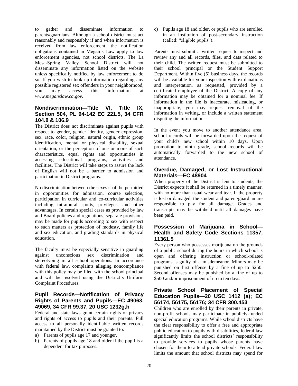to gather and disseminate information to parents/guardians. Although a school district must act reasonably and responsibly if and when information is received from law enforcement, the notification obligations contained in Megan's Law apply to law enforcement agencies, not school districts. The La Mesa-Spring Valley School District will not disseminate any information listed on the website unless specifically notified by law enforcement to do so. If you wish to look up information regarding any possible registered sex offenders in your neighborhood, you may access this information at *www.meganslaw.ca.gov*.

#### **Nondiscrimination—Title VI, Title IX, Section 504, PL 94-142 EC 221.5, 34 CFR 104.8 & 106.9**

The District does not discriminate against pupils with respect to gender, gender identity, gender expression, sex, race, color, religion, natural origin, ethnic group identification, mental or physical disability, sexual orientation, or the perception of one or more of such characteristics, equal rights and opportunities in accessing educational programs, activities and facilities. The District will take steps to assure the lack of English will not be a barrier to admission and participation in District programs.

No discrimination between the sexes shall be permitted in opportunities for admission, course selection, participation in curricular and co-curricular activities including intramural sports, privileges, and other advantages. In certain special cases as provided by law and Board policies and regulations, separate provisions may be made for pupils according to sex with respect to such matters as protection of modesty, family life and sex education, and grading standards in physical education.

The faculty must be especially sensitive in guarding against unconscious sex discrimination and stereotyping in all school operations. In accordance with federal law, complaints alleging noncompliance with this policy may be filed with the school principal and will be resolved using the District's Uniform Complaint Procedures.

#### **Pupil Records—Notification of Privacy Rights of Parents and Pupils—EC 49063, 49069, 34 CFR 99.37, 20 USC 1232g,h**

Federal and state laws grant certain rights of privacy and rights of access to pupils and their parents. Full access to all personally identifiable written records maintained by the District must be granted to:

- a) Parents of pupils age 17 and younger.
- b) Parents of pupils age 18 and older if the pupil is a dependent for tax purposes.

c) Pupils age 18 and older, or pupils who are enrolled in an institution of post-secondary instruction (called: "eligible pupils").

Parents must submit a written request to inspect and review any and all records, files, and data related to their child. The written request must be submitted to their school principal or the Student Support Department. Within five (5) business days, the records will be available for your inspection with explanations and interpretation, as requested, provided by a certificated employee of the District. A copy of any information may be obtained for a nominal fee. If information in the file is inaccurate, misleading, or inappropriate, you may request removal of the information in writing, or include a written statement disputing the information.

In the event you move to another attendance area, school records will be forwarded upon the request of your child's new school within 10 days. Upon promotion to ninth grade, school records will be automatically forwarded to the new school of attendance.

#### **Overdue, Damaged, or Lost Instructional Materials—EC 48904**

When property of the District is lent to students, the District expects it shall be returned in a timely manner, with no more than usual wear and tear. If the property is lost or damaged, the student and parent/guardian are responsible to pay for all damage. Grades and transcripts may be withheld until all damages have been paid.

#### **Possession of Marijuana in School— Health and Safety Code Sections 11357, 11361.5**

Every person who possesses marijuana on the grounds of a public school during the hours in which school is open and offering instruction or school-related programs is guilty of a misdemeanor. Minors may be punished on first offense by a fine of up to \$250. Second offenses may be punished by a fine of up to \$500 and/or imprisonment of up to ten days.

#### **Private School Placement of Special Education Pupils—20 USC 1412 (a); EC 56174, 56175, 56176; 34 CFR 300.453**

Children who are enrolled by their parents in private, non-profit schools may participate in publicly-funded special education programs. While school districts have the clear responsibility to offer a free and appropriate public education to pupils with disabilities, federal law significantly limits the school districts' responsibility to provide services to pupils whose parents have chosen for them to attend private schools. Federal law limits the amount that school districts may spend for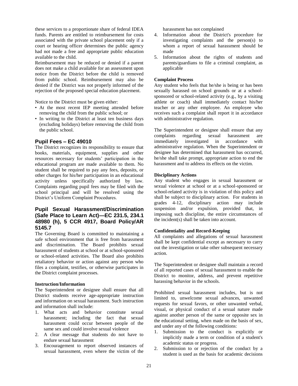these services to a proportionate share of federal IDEA funds. Parents are entitled to reimbursement for costs associated with the private school placement only if a court or hearing officer determines the public agency had not made a free and appropriate public education available to the child.

Reimbursement may be reduced or denied if a parent does not make a child available for an assessment upon notice from the District before the child is removed from public school. Reimbursement may also be denied if the District was not properly informed of the rejection of the proposed special education placement.

Notice to the District must be given either:

- At the most recent IEP meeting attended before removing the child from the public school; or
- In writing to the District at least ten business days (excluding holidays) before removing the child from the public school.

#### **Pupil Fees – EC 49010**

The District recognizes its responsibility to ensure that books, materials, equipment, supplies and other resources necessary for students' participation in the educational program are made available to them. No student shall be required to pay any fees, deposits, or other charges for his/her participation in an educational activity unless specifically authorized by law. Complaints regarding pupil fees may be filed with the school principal and will be resolved using the District's Uniform Complaint Procedures.

#### **Pupil Sexual Harassment/Discrimination (Safe Place to Learn Act)—EC 231.5, 234.1 48980 (h), 5 CCR 4917, Board Policy/AR 5145.7**

The Governing Board is committed to maintaining a safe school environment that is free from harassment and discrimination. The Board prohibits sexual harassment of students at school or at school-sponsored or school-related activities. The Board also prohibits retaliatory behavior or action against any person who files a complaint, testifies, or otherwise participates in the District complaint processes.

#### **Instruction/Information**

The Superintendent or designee shall ensure that all District students receive age-appropriate instruction and information on sexual harassment. Such instruction and information shall include:

- 1. What acts and behavior constitute sexual harassment; including the fact that sexual harassment could occur between people of the same sex and could involve sexual violence
- 2. A clear message that students do not have to endure sexual harassment
- 3. Encouragement to report observed instances of sexual harassment, even where the victim of the

harassment has not complained

- 4. Information about the District's procedure for investigating complaints and the person(s) to whom a report of sexual harassment should be made
- 5. Information about the rights of students and parents/guardians to file a criminal complaint, as applicable

#### **Complaint Process**

Any student who feels that he/she is being or has been sexually harassed on school grounds or at a schoolsponsored or school-related activity (e.g., by a visiting athlete or coach) shall immediately contact his/her teacher or any other employee. An employee who receives such a complaint shall report it in accordance with administrative regulation.

The Superintendent or designee shall ensure that any complaints regarding sexual harassment are immediately investigated in accordance with administrative regulation. When the Superintendent or designee has determined that harassment has occurred, he/she shall take prompt, appropriate action to end the harassment and to address its effects on the victim.

#### **Disciplinary Actions**

Any student who engages in sexual harassment or sexual violence at school or at a school-sponsored or school-related activity is in violation of this policy and shall be subject to disciplinary action. For students in grades 4-12, disciplinary action may include suspension and/or expulsion, provided that, in imposing such discipline, the entire circumstances of the incident(s) shall be taken into account.

#### **Confidentiality and Record-Keeping**

All complaints and allegations of sexual harassment shall be kept confidential except as necessary to carry out the investigation or take other subsequent necessary action.

The Superintendent or designee shall maintain a record of all reported cases of sexual harassment to enable the District to monitor, address, and prevent repetitive harassing behavior in the schools.

Prohibited sexual harassment includes, but is not limited to, unwelcome sexual advances, unwanted requests for sexual favors, or other unwanted verbal, visual, or physical conduct of a sexual nature made against another person of the same or opposite sex in the educational setting, when made on the basis of sex, and under any of the following conditions:

- 1. Submission to the conduct is explicitly or implicitly made a term or condition of a student's academic status or progress.
- 2. Submission to or rejection of the conduct by a student is used as the basis for academic decisions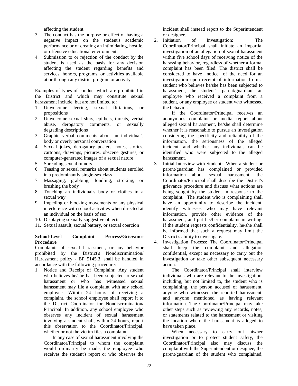affecting the student.

- 3. The conduct has the purpose or effect of having a negative impact on the student's academic performance or of creating an intimidating, hostile, or offensive educational environment.
- 4. Submission to or rejection of the conduct by the student is used as the basis for any decision affecting the student regarding benefits and services, honors, programs, or activities available at or through any district program or activity.

Examples of types of conduct which are prohibited in the District and which may constitute sexual harassment include, but are not limited to:

- 1. Unwelcome leering, sexual flirtations, or propositions
- 2. Unwelcome sexual slurs, epithets, threats, verbal abuse, derogatory comments, or sexually degrading descriptions
- 3. Graphic verbal comments about an individual's body or overly personal conversation
- 4. Sexual jokes, derogatory posters, notes, stories, cartoons, drawings, pictures, obscene gestures, or computer-generated images of a sexual nature
- 5. Spreading sexual rumors
- 6. Teasing or sexual remarks about students enrolled in a predominantly single-sex class
- 7. Massaging, grabbing, fondling, stroking, or brushing the body
- 8. Touching an individual's body or clothes in a sexual way
- 9. Impeding or blocking movements or any physical interference with school activities when directed at an individual on the basis of sex
- 10. Displaying sexually suggestive objects
- 11. Sexual assault, sexual battery, or sexual coercion

#### **School-Level Complaint Process/Grievance Procedure**

Complaints of sexual harassment, or any behavior prohibited by the District's Nondiscrimination/ Harassment policy - BP 5145.3, shall be handled in accordance with the following procedure:

1. Notice and Receipt of Complaint: Any student who believes he/she has been subjected to sexual harassment or who has witnessed sexual harassment may file a complaint with any school employee. Within 24 hours of receiving a complaint, the school employee shall report it to the District Coordinator for Nondiscrimination/ Principal. In addition, any school employee who observes any incident of sexual harassment involving a student shall, within 24 hours, report this observation to the Coordinator/Principal, whether or not the victim files a complaint.

In any case of sexual harassment involving the Coordinator/Principal to whom the complaint would ordinarily be made, the employee who receives the student's report or who observes the

incident shall instead report to the Superintendent or designee.

2. Initiation of Investigation: The Coordinator/Principal shall initiate an impartial investigation of an allegation of sexual harassment within five school days of receiving notice of the harassing behavior, regardless of whether a formal complaint has been filed. The district shall be considered to have "notice" of the need for an investigation upon receipt of information from a student who believes he/she has been subjected to harassment, the student's parent/guardian, an employee who received a complaint from a student, or any employee or student who witnessed the behavior.

If the Coordinator/Principal receives an anonymous complaint or media report about alleged sexual harassment, he/she shall determine whether it is reasonable to pursue an investigation considering the specificity and reliability of the information, the seriousness of the alleged incident, and whether any individuals can be identified who were subjected to the alleged harassment.

3. Initial Interview with Student: When a student or parent/guardian has complained or provided information about sexual harassment, the Coordinator/Principal shall describe the District's grievance procedure and discuss what actions are being sought by the student in response to the complaint. The student who is complaining shall have an opportunity to describe the incident, identify witnesses who may have relevant information, provide other evidence of the harassment, and put his/her complaint in writing. If the student requests confidentiality, he/she shall be informed that such a request may limit the District's ability to investigate.

4. Investigation Process: The Coordinator/Principal shall keep the complaint and allegation confidential, except as necessary to carry out the investigation or take other subsequent necessary action.

The Coordinator/Principal shall interview individuals who are relevant to the investigation, including, but not limited to, the student who is complaining, the person accused of harassment, anyone who witnessed the reported harassment, and anyone mentioned as having relevant information. The Coordinator/Principal may take other steps such as reviewing any records, notes, or statements related to the harassment or visiting the location where the harassment is alleged to have taken place.

When necessary to carry out his/her investigation or to protect student safety, the Coordinator/Principal also may discuss the complaint with the Superintendent or designee, the parent/guardian of the student who complained,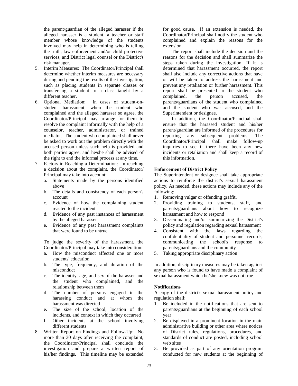the parent/guardian of the alleged harasser if the alleged harasser is a student, a teacher or staff member whose knowledge of the students involved may help in determining who is telling the truth, law enforcement and/or child protective services, and District legal counsel or the District's risk manager.

- 5. Interim Measures: The Coordinator/Principal shall determine whether interim measures are necessary during and pending the results of the investigation, such as placing students in separate classes or transferring a student to a class taught by a different teacher.
- 6. Optional Mediation: In cases of student-onstudent harassment, when the student who complained and the alleged harasser so agree, the Coordinator/Principal may arrange for them to resolve the complaint informally with the help of a counselor, teacher, administrator, or trained mediator. The student who complained shall never be asked to work out the problem directly with the accused person unless such help is provided and both parties agree, and he/she shall be advised of the right to end the informal process at any time.
- 7. Factors in Reaching a Determination: In reaching a decision about the complaint, the Coordinator/ Principal may take into account:
	- a. Statements made by the persons identified above
	- b. The details and consistency of each person's account
	- c. Evidence of how the complaining student reacted to the incident
	- d. Evidence of any past instances of harassment by the alleged harasser
	- e. Evidence of any past harassment complaints that were found to be untrue

To judge the severity of the harassment, the Coordinator/Principal may take into consideration:

- a. How the misconduct affected one or more students' education
- b. The type, frequency, and duration of the misconduct
- c. The identity, age, and sex of the harasser and the student who complained, and the relationship between them
- d. The number of persons engaged in the harassing conduct and at whom the harassment was directed
- e. The size of the school, location of the incidents, and context in which they occurred
- f. Other incidents at the school involving different students
- 8. Written Report on Findings and Follow-Up: No more than 30 days after receiving the complaint, the Coordinator/Principal shall conclude the investigation and prepare a written report of his/her findings. This timeline may be extended

for good cause. If an extension is needed, the Coordinator/Principal shall notify the student who complained and explain the reasons for the extension.

The report shall include the decision and the reasons for the decision and shall summarize the steps taken during the investigation. If it is determined that harassment occurred, the report shall also include any corrective actions that have or will be taken to address the harassment and prevent any retaliation or further harassment. This report shall be presented to the student who complained, the person accused, the parents/guardians of the student who complained and the student who was accused, and the Superintendent or designee.

In addition, the Coordinator/Principal shall ensure that the harassed student and his/her parent/guardian are informed of the procedures for reporting any subsequent problems. The Coordinator/Principal shall make follow-up inquiries to see if there have been any new incidents or retaliation and shall keep a record of this information.

#### **Enforcement of District Policy**

The Superintendent or designee shall take appropriate actions to reinforce the district's sexual harassment policy. As needed, these actions may include any of the following:

- 1. Removing vulgar or offending graffiti
- 2. Providing training to students, staff, and parents/guardians about how to recognize harassment and how to respond
- 3. Disseminating and/or summarizing the District's policy and regulation regarding sexual harassment
- 4. Consistent with the laws regarding the confidentiality of student and personnel records, communicating the school's response to parents/guardians and the community
- 5. Taking appropriate disciplinary action

In addition, disciplinary measures may be taken against any person who is found to have made a complaint of sexual harassment which he/she knew was not true.

#### **Notifications**

A copy of the district's sexual harassment policy and regulation shall:

- 1. Be included in the notifications that are sent to parents/guardians at the beginning of each school year
- 2. Be displayed in a prominent location in the main administrative building or other area where notices of District rules, regulations, procedures, and standards of conduct are posted, including school web sites
- 3. Be provided as part of any orientation program conducted for new students at the beginning of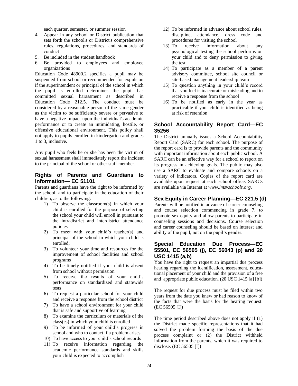each quarter, semester, or summer session

- 4. Appear in any school or District publication that sets forth the school's or District's comprehensive rules, regulations, procedures, and standards of conduct
- 5. Be included in the student handbook
- 6. Be provided to employees and employee organizations

Education Code 48900.2 specifies a pupil may be suspended from school or recommended for expulsion if the superintendent or principal of the school in which the pupil is enrolled determines the pupil has committed sexual harassment as described in Education Code 212.5. The conduct must be considered by a reasonable person of the same gender as the victim to be sufficiently severe or pervasive to have a negative impact upon the individual's academic performance or to create an intimidating, hostile, or offensive educational environment. This policy shall not apply to pupils enrolled in kindergarten and grades 1 to 3, inclusive.

Any pupil who feels he or she has been the victim of sexual harassment shall immediately report the incident to the principal of the school or other staff member.

#### **Rights of Parents and Guardians to Information— EC 51101**

Parents and guardians have the right to be informed by the school, and to participate in the education of their children, as to the following:

- 1) To observe the classroom(s) in which your child is enrolled for the purpose of selecting the school your child will enroll in pursuant to the intradistrict and interdistrict attendance policies
- 2) To meet with your child's teacher(s) and principal of the school in which your child is enrolled;
- 3) To volunteer your time and resources for the improvement of school facilities and school programs
- 4) To be timely notified if your child is absent from school without permission
- 5) To receive the results of your child's performance on standardized and statewide tests
- 6) To request a particular school for your child and receive a response from the school district
- 7) To have a school environment for your child that is safe and supportive of learning
- 8) To examine the curriculum or materials of the class(es) in which your child is enrolled
- 9) To be informed of your child's progress in school and who to contact if a problem arises
- 10) To have access to your child's school records
- 11) To receive information regarding the academic performance standards and skills your child is expected to accomplish
- 12) To be informed in advance about school rules, discipline, attendance, dress code and procedures for visiting the school
- 13) To receive information about any psychological testing the school performs on your child and to deny permission to giving the test
- 14) To participate as a member of a parent advisory committee, school site council or site-based management leadership team
- 15) To question anything in your child's record that you feel is inaccurate or misleading and to receive a response from the school
- 16) To be notified as early in the year as practicable if your child is identified as being at risk of retention

#### **School Accountability Report Card—EC 35256**

The District annually issues a School Accountability Report Card (SARC) for each school. The purpose of the report card is to provide parents and the community with important information about each public school. A SARC can be an effective way for a school to report on its progress in achieving goals. The public may also use a SARC to evaluate and compare schools on a variety of indicators. Copies of the report card are available upon request at each school office. SARCs are available via Internet at *www.lmsvschools.org*.

#### **Sex Equity in Career Planning—EC 221.5 (d)**

Parents will be notified in advance of career counseling and course selection commencing in grade 7, to promote sex equity and allow parents to participate in counseling sessions and decisions. Course selection and career counseling should be based on interest and ability of the pupil, not on the pupil's gender.

#### **Special Education Due Process—EC 55501, EC 56505 (j), EC 56043 (p) and 20 USC 1415 (a,b)**

You have the right to request an impartial due process hearing regarding the identification, assessment, educational placement of your child and the provision of a free and appropriate public education. (20 USC 1415 [a] [b])

The request for due process must be filed within two years from the date you knew or had reason to know of the facts that were the basis for the hearing request. (EC 56505 [I])

The time period described above does not apply if (1) the District made specific representations that it had solved the problem forming the basis of the due process complaint or (2) the District withheld information from the parents, which it was required to disclose. (EC 56505 [I])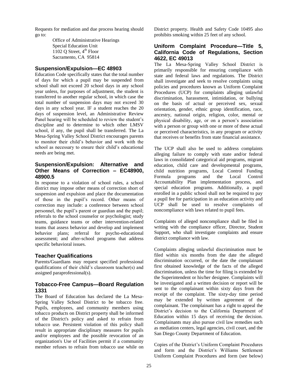Requests for mediation and due process hearing should go to:

> Office of Administrative Hearings Special Education Unit  $1102$  O Street,  $4<sup>th</sup>$  Floor Sacramento, CA 95814

#### **Suspension/Expulsion—EC 48903**

Education Code specifically states that the total number of days for which a pupil may be suspended from school shall not exceed 20 school days in any school year unless, for purposes of adjustment, the student is transferred to another regular school, in which case the total number of suspension days may not exceed 30 days in any school year. IF a student reaches the 20 days of suspension level, an Administrative Review Panel hearing will be scheduled to review the student's discipline and to determine to which other LMSV school, if any, the pupil shall be transferred. The La Mesa-Spring Valley School District encourages parents to monitor their child's behavior and work with the school as necessary to ensure their child's educational needs are being met.

#### **Suspension/Expulsion: Alternative and Other Means of Correction – EC48900, 48900.5**

In response to a violation of school rules, a school district may impose other means of correction short of suspension and expulsion and place the documentation of those in the pupil's record. Other means of correction may include: a conference between school personnel, the pupil's parent or guardian and the pupil; referrals to the school counselor or psychologist; study teams, guidance teams or other intervention-related teams that assess behavior and develop and implement behavior plans; referral for psycho-educational assessment; and after-school programs that address specific behavioral issues.

#### **Teacher Qualifications**

Parents/Guardians may request specified professional qualifications of their child's classroom teacher(s) and assigned paraprofessional(s).

#### **Tobacco-Free Campus—Board Regulation 1331**

The Board of Education has declared the La Mesa-Spring Valley School District to be tobacco free. Pupils, employees, and community members using tobacco products on District property shall be informed of the District's policy and asked to refrain from tobacco use. Persistent violation of this policy shall result in appropriate disciplinary measures for pupils and/or employees and the possible revocation of an organization's Use of Facilities permit if a community member refuses to refrain from tobacco use while on District property. Health and Safety Code 10495 also prohibits smoking within 25 feet of any school.

#### **Uniform Complaint Procedure—Title 5, California Code of Regulations, Section 4622, EC 49013**

The La Mesa-Spring Valley School District is primarily responsible for ensuring compliance with state and federal laws and regulations. The District shall investigate and seek to resolve complaints using policies and procedures known as Uniform Complaint Procedures (UCP) for complaints alleging unlawful discrimination, harassment, intimidation, or bullying on the basis of actual or perceived sex, sexual orientation, gender, ethnic group identification, race, ancestry, national origin, religion, color, mental or physical disability, age, or on a person's association with a person or group with one or more of these actual or perceived characteristics, in any program or activity that receives or benefits from state financial assistance.

The UCP shall also be used to address complaints alleging failure to comply with state and/or federal laws in consolidated categorical aid programs, migrant education, child care and developmental programs, child nutrition programs, Local Control Funding Formula programs and the Local Control Accountability Plan implementation process, and special education programs. Additionally, a pupil enrolled in a public school shall not be required to pay a pupil fee for participation in an education activity and UCP shall be used to resolve complaints of noncompliance with laws related to pupil fees.

Complaints of alleged noncompliance shall be filed in writing with the compliance officer, Director, Student Support, who shall investigate complaints and ensure district compliance with law.

Complaints alleging unlawful discrimination must be filed within six months from the date the alleged discrimination occurred, or the date the complainant first obtained knowledge of the facts of the alleged discrimination, unless the time for filing is extended by the Superintendent or his/her designee. Complaints will be investigated and a written decision or report will be sent to the complainant within sixty days from the receipt of the complaint. The sixty-day time period may be extended by written agreement of the complainant. The complainant has a right to appeal the District's decision to the California Department of Education within 15 days of receiving the decision. Complainants may also pursue civil law remedies such as mediation centers, legal agencies, civil court, and the San Diego County Department of Education.

Copies of the District's Uniform Complaint Procedures and form and the District's Williams Settlement Uniform Complaint Procedures and form (see below)